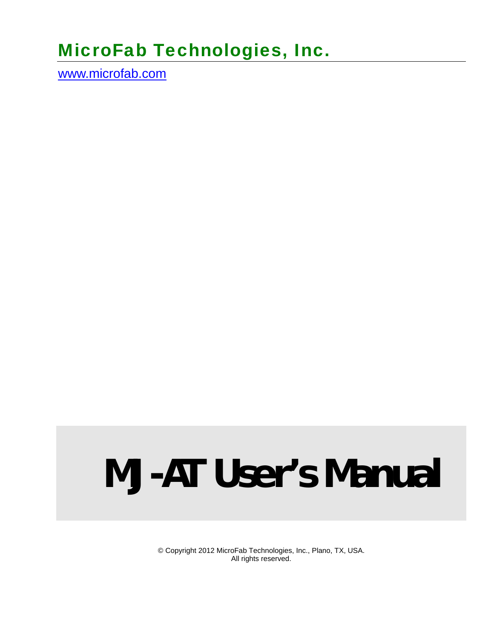# MicroFab Technologies, Inc.

www.microfab.com

# **MJ-AT User's Manual**

© Copyright 2012 MicroFab Technologies, Inc., Plano, TX, USA. All rights reserved.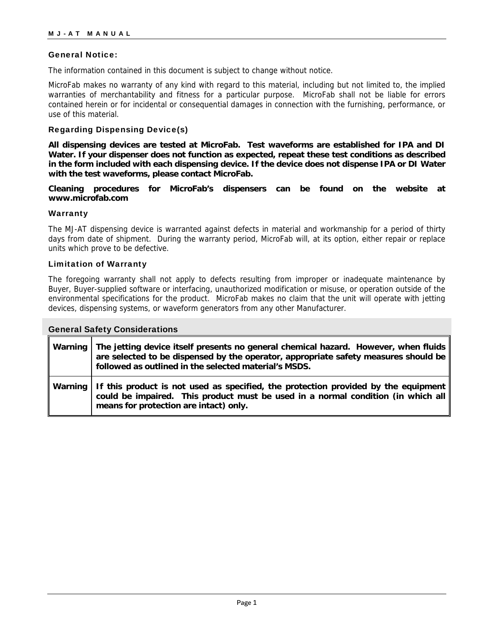#### General Notice:

The information contained in this document is subject to change without notice.

MicroFab makes no warranty of any kind with regard to this material, including but not limited to, the implied warranties of merchantability and fitness for a particular purpose. MicroFab shall not be liable for errors contained herein or for incidental or consequential damages in connection with the furnishing, performance, or use of this material.

#### Regarding Dispensing Device(s)

**All dispensing devices are tested at MicroFab. Test waveforms are established for IPA and DI Water. If your dispenser does not function as expected, repeat these test conditions as described in the form included with each dispensing device. If the device does not dispense IPA or DI Water with the test waveforms, please contact MicroFab.** 

**Cleaning procedures for MicroFab's dispensers can be found on the website at www.microfab.com** 

#### **Warranty**

The MJ-AT dispensing device is warranted against defects in material and workmanship for a period of thirty days from date of shipment. During the warranty period, MicroFab will, at its option, either repair or replace units which prove to be defective.

#### Limitation of Warranty

The foregoing warranty shall not apply to defects resulting from improper or inadequate maintenance by Buyer, Buyer-supplied software or interfacing, unauthorized modification or misuse, or operation outside of the environmental specifications for the product. MicroFab makes no claim that the unit will operate with jetting devices, dispensing systems, or waveform generators from any other Manufacturer.

| <b>General Safety Considerations</b> |                                                                                                                                                                                                                                     |  |  |  |
|--------------------------------------|-------------------------------------------------------------------------------------------------------------------------------------------------------------------------------------------------------------------------------------|--|--|--|
| Warning                              | The jetting device itself presents no general chemical hazard. However, when fluids<br>are selected to be dispensed by the operator, appropriate safety measures should be<br>followed as outlined in the selected material's MSDS. |  |  |  |
| Warning                              | If this product is not used as specified, the protection provided by the equipment<br>could be impaired. This product must be used in a normal condition (in which all<br>means for protection are intact) only.                    |  |  |  |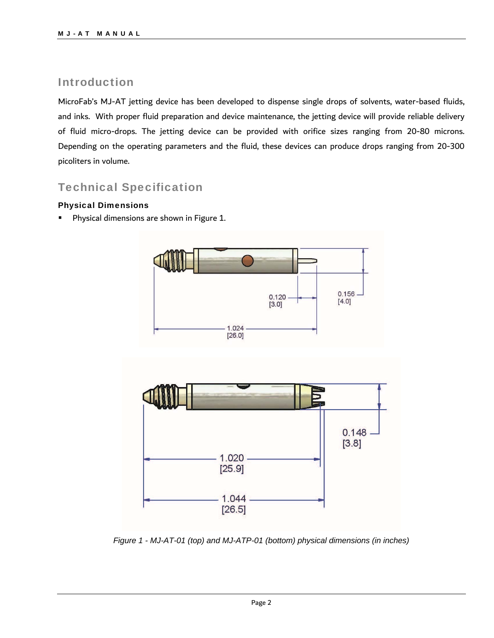### Introduction

MicroFab's MJ-AT jetting device has been developed to dispense single drops of solvents, water-based fluids, and inks. With proper fluid preparation and device maintenance, the jetting device will provide reliable delivery of fluid micro-drops. The jetting device can be provided with orifice sizes ranging from 20-80 microns. Depending on the operating parameters and the fluid, these devices can produce drops ranging from 20-300 picoliters in volume.

## Technical Specification

#### Physical Dimensions

Physical dimensions are shown in Figure 1.



*Figure 1 - MJ-AT-01 (top) and MJ-ATP-01 (bottom) physical dimensions (in inches)*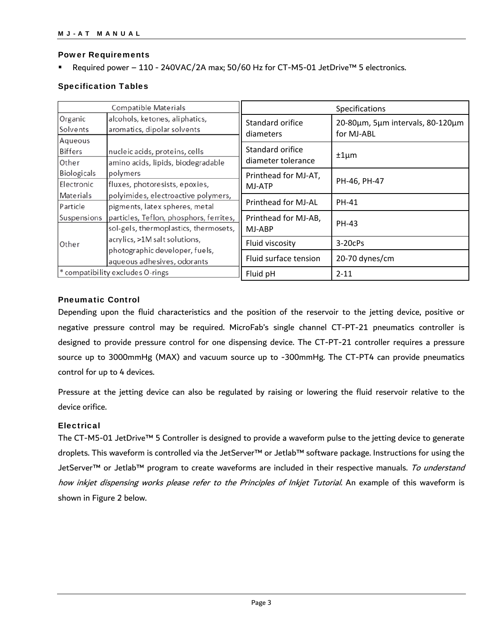#### Power Requirements

Required power – 110 - 240VAC/2A max; 50/60 Hz for CT-M5-01 JetDrive™ 5 electronics.

#### Specification Tables

| <b>Compatible Materials</b>               |                                                                                                | Specifications                         |                                                |
|-------------------------------------------|------------------------------------------------------------------------------------------------|----------------------------------------|------------------------------------------------|
| Organic<br>Solvents                       | alcohols, ketones, aliphatics,<br>aromatics, dipolar solvents                                  | Standard orifice<br>diameters          | 20-80um, 5um intervals, 80-120um<br>for MJ-ABL |
| Aqueous<br><b>Biffers</b><br><b>Other</b> | nucleic acids, proteins, cells<br>amino acids, lipids, biodegradable                           | Standard orifice<br>diameter tolerance | $±1 \mu m$                                     |
| Biologicals<br>Electronic                 | polymers<br>fluxes, photoresists, epoxies,                                                     | Printhead for MJ-AT,<br>MJ-ATP         | PH-46, PH-47                                   |
| Materials<br>Particle                     | polyimides, electroactive polymers,<br>pigments, latex spheres, metal                          | Printhead for MJ-AL                    | PH-41                                          |
| Suspensions                               | particles, Teflon, phosphors, ferrites,<br>sol-gels, thermoplastics, thermosets,               | Printhead for MJ-AB,<br>MJ-ABP         | PH-43                                          |
| Other                                     | acrylics, >1M salt solutions,<br>photographic developer, fuels,<br>aqueous adhesives, odorants | Fluid viscosity                        | $3-20c$ Ps                                     |
|                                           |                                                                                                | Fluid surface tension                  | 20-70 dynes/cm                                 |
| * compatibility excludes O-rings          |                                                                                                | Fluid pH                               | $2 - 11$                                       |

#### Pneumatic Control

Depending upon the fluid characteristics and the position of the reservoir to the jetting device, positive or negative pressure control may be required. MicroFab's single channel CT-PT-21 pneumatics controller is designed to provide pressure control for one dispensing device. The CT-PT-21 controller requires a pressure source up to 3000mmHg (MAX) and vacuum source up to -300mmHg. The CT-PT4 can provide pneumatics control for up to 4 devices.

Pressure at the jetting device can also be regulated by raising or lowering the fluid reservoir relative to the device orifice.

#### **Electrical**

The CT-M5-01 JetDrive™ 5 Controller is designed to provide a waveform pulse to the jetting device to generate droplets. This waveform is controlled via the JetServer™ or Jetlab™ software package. Instructions for using the JetServer™ or Jetlab™ program to create waveforms are included in their respective manuals. To understand how inkjet dispensing works please refer to the Principles of Inkjet Tutorial. An example of this waveform is shown in Figure 2 below.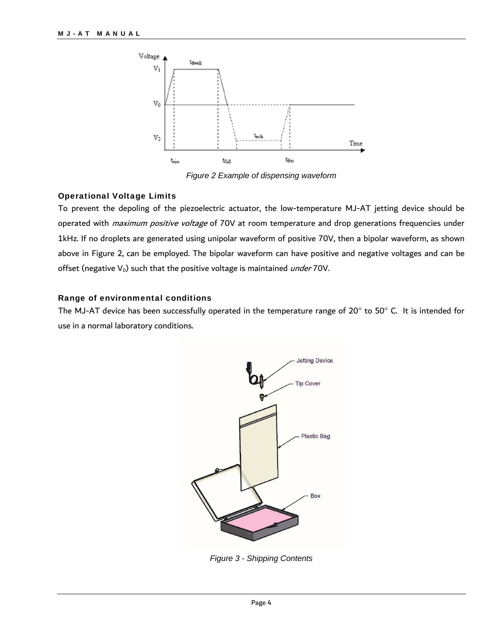

*Figure 2 Example of dispensing waveform* 

#### Operational Voltage Limits

To prevent the depoling of the piezoelectric actuator, the low-temperature MJ-AT jetting device should be operated with *maximum positive voltage* of 70V at room temperature and drop generations frequencies under 1kHz. If no droplets are generated using unipolar waveform of positive 70V, then a bipolar waveform, as shown above in Figure 2, can be employed. The bipolar waveform can have positive and negative voltages and can be offset (negative  $V_0$ ) such that the positive voltage is maintained *under* 70V.

#### Range of environmental conditions

The MJ-AT device has been successfully operated in the temperature range of 20 $^{\circ}$  to 50 $^{\circ}$  C. It is intended for use in a normal laboratory conditions.



*Figure 3 - Shipping Contents*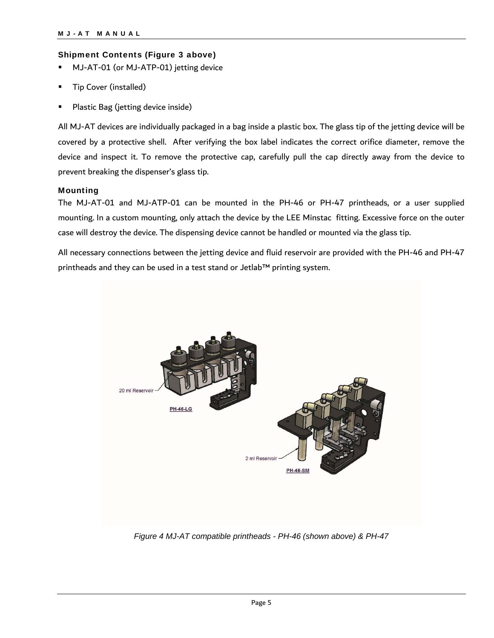#### Shipment Contents (Figure 3 above)

- MJ-AT-01 (or MJ-ATP-01) jetting device
- Tip Cover (installed)
- Plastic Bag (jetting device inside)

All MJ-AT devices are individually packaged in a bag inside a plastic box. The glass tip of the jetting device will be covered by a protective shell. After verifying the box label indicates the correct orifice diameter, remove the device and inspect it. To remove the protective cap, carefully pull the cap directly away from the device to prevent breaking the dispenser's glass tip.

#### Mounting

The MJ-AT-01 and MJ-ATP-01 can be mounted in the PH-46 or PH-47 printheads, or a user supplied mounting. In a custom mounting, only attach the device by the LEE Minstac fitting. Excessive force on the outer case will destroy the device. The dispensing device cannot be handled or mounted via the glass tip.

All necessary connections between the jetting device and fluid reservoir are provided with the PH-46 and PH-47 printheads and they can be used in a test stand or Jetlab™ printing system.



*Figure 4 MJ-AT compatible printheads - PH-46 (shown above) & PH-47*